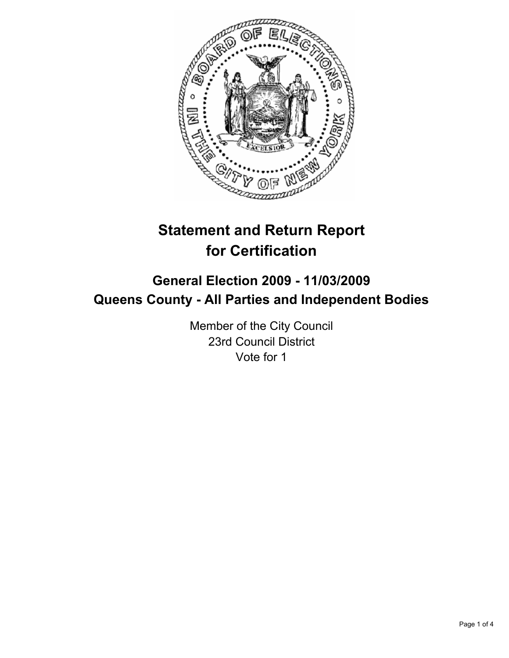

# **Statement and Return Report for Certification**

# **General Election 2009 - 11/03/2009 Queens County - All Parties and Independent Bodies**

Member of the City Council 23rd Council District Vote for 1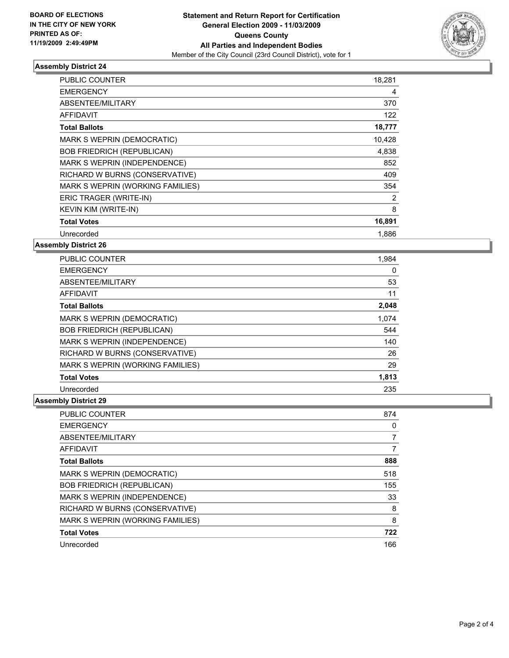

## **Assembly District 24**

| <b>PUBLIC COUNTER</b>             | 18,281 |
|-----------------------------------|--------|
| <b>EMERGENCY</b>                  | 4      |
| ABSENTEE/MILITARY                 | 370    |
| <b>AFFIDAVIT</b>                  | 122    |
| <b>Total Ballots</b>              | 18,777 |
| MARK S WEPRIN (DEMOCRATIC)        | 10,428 |
| <b>BOB FRIEDRICH (REPUBLICAN)</b> | 4,838  |
| MARK S WEPRIN (INDEPENDENCE)      | 852    |
| RICHARD W BURNS (CONSERVATIVE)    | 409    |
| MARK S WEPRIN (WORKING FAMILIES)  | 354    |
| ERIC TRAGER (WRITE-IN)            | 2      |
| <b>KEVIN KIM (WRITE-IN)</b>       | 8      |
| <b>Total Votes</b>                | 16,891 |
| Unrecorded                        | 1.886  |

**Assembly District 26**

| <b>PUBLIC COUNTER</b>             | 1,984 |
|-----------------------------------|-------|
| <b>EMERGENCY</b>                  | 0     |
| ABSENTEE/MILITARY                 | 53    |
| <b>AFFIDAVIT</b>                  | 11    |
| <b>Total Ballots</b>              | 2,048 |
| MARK S WEPRIN (DEMOCRATIC)        | 1,074 |
| <b>BOB FRIEDRICH (REPUBLICAN)</b> | 544   |
| MARK S WEPRIN (INDEPENDENCE)      | 140   |
| RICHARD W BURNS (CONSERVATIVE)    | 26    |
| MARK S WEPRIN (WORKING FAMILIES)  | 29    |
| <b>Total Votes</b>                | 1,813 |
| Unrecorded                        | 235   |

# **Assembly District 29**

| <b>PUBLIC COUNTER</b>             | 874 |
|-----------------------------------|-----|
| <b>EMERGENCY</b>                  | 0   |
| ABSENTEE/MILITARY                 |     |
| <b>AFFIDAVIT</b>                  |     |
| <b>Total Ballots</b>              | 888 |
| <b>MARK S WEPRIN (DEMOCRATIC)</b> | 518 |
| <b>BOB FRIEDRICH (REPUBLICAN)</b> | 155 |
| MARK S WEPRIN (INDEPENDENCE)      | 33  |
| RICHARD W BURNS (CONSERVATIVE)    | 8   |
| MARK S WEPRIN (WORKING FAMILIES)  | 8   |
| <b>Total Votes</b>                | 722 |
| Unrecorded                        | 166 |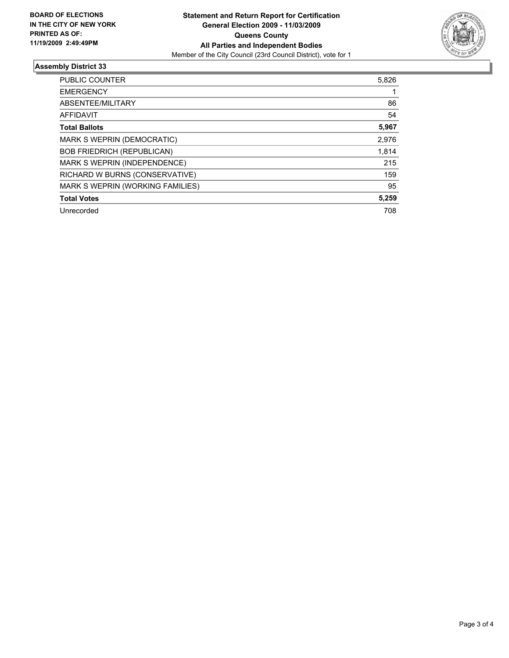

## **Assembly District 33**

| <b>PUBLIC COUNTER</b>             | 5,826 |
|-----------------------------------|-------|
| <b>EMERGENCY</b>                  |       |
| ABSENTEE/MILITARY                 | 86    |
| <b>AFFIDAVIT</b>                  | 54    |
| <b>Total Ballots</b>              | 5,967 |
| MARK S WEPRIN (DEMOCRATIC)        | 2,976 |
| <b>BOB FRIEDRICH (REPUBLICAN)</b> | 1,814 |
| MARK S WEPRIN (INDEPENDENCE)      | 215   |
| RICHARD W BURNS (CONSERVATIVE)    | 159   |
| MARK S WEPRIN (WORKING FAMILIES)  | 95    |
| <b>Total Votes</b>                | 5,259 |
| Unrecorded                        | 708   |